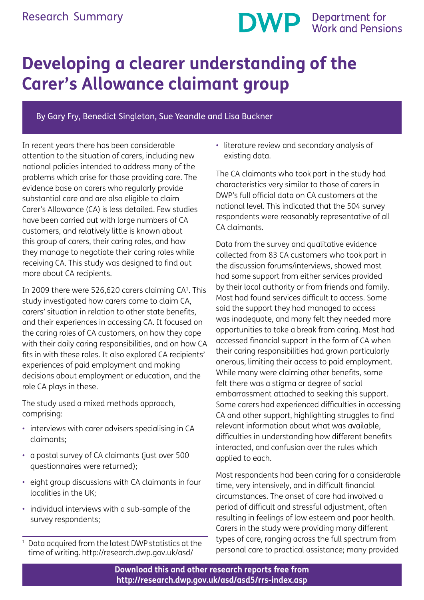# **DWP** Department for<br>Work and Pensions

## **Developing a clearer understanding of the Carer's Allowance claimant group**

By Gary Fry, Benedict Singleton, Sue Yeandle and Lisa Buckner

In recent years there has been considerable attention to the situation of carers, including new national policies intended to address many of the problems which arise for those providing care. The evidence base on carers who regularly provide substantial care and are also eligible to claim Carer's Allowance (CA) is less detailed. Few studies have been carried out with large numbers of CA customers, and relatively little is known about this group of carers, their caring roles, and how they manage to negotiate their caring roles while receiving CA. This study was designed to find out more about CA recipients.

In 2009 there were 526,620 carers claiming  $CA<sup>1</sup>$ . This study investigated how carers come to claim CA, carers' situation in relation to other state benefits, and their experiences in accessing CA. It focused on the caring roles of CA customers, on how they cope with their daily caring responsibilities, and on how CA fits in with these roles. It also explored CA recipients' experiences of paid employment and making decisions about employment or education, and the role CA plays in these.

The study used a mixed methods approach, comprising:

- interviews with carer advisers specialising in CA claimants;
- a postal survey of CA claimants (just over 500 questionnaires were returned);
- eight group discussions with CA claimants in four localities in the UK;
- individual interviews with a sub-sample of the survey respondents;
- Data acquired from the latest DWP statistics at the time of writing. http://research.dwp.gov.uk/asd/

• literature review and secondary analysis of existing data.

The CA claimants who took part in the study had characteristics very similar to those of carers in DWP's full official data on CA customers at the national level. This indicated that the 504 survey respondents were reasonably representative of all CA claimants.

Data from the survey and qualitative evidence collected from 83 CA customers who took part in the discussion forums/interviews, showed most had some support from either services provided by their local authority or from friends and family. Most had found services difficult to access. Some said the support they had managed to access was inadequate, and many felt they needed more opportunities to take a break from caring. Most had accessed financial support in the form of CA when their caring responsibilities had grown particularly onerous, limiting their access to paid employment. While many were claiming other benefits, some felt there was a stigma or degree of social embarrassment attached to seeking this support. Some carers had experienced difficulties in accessing CA and other support, highlighting struggles to find relevant information about what was available, difficulties in understanding how different benefits interacted, and confusion over the rules which applied to each.

Most respondents had been caring for a considerable time, very intensively, and in difficult financial circumstances. The onset of care had involved a period of difficult and stressful adjustment, often resulting in feelings of low esteem and poor health. Carers in the study were providing many different types of care, ranging across the full spectrum from personal care to practical assistance; many provided

**Download this and other research reports free from http://research.dwp.gov.uk/asd/asd5/rrs-index.asp**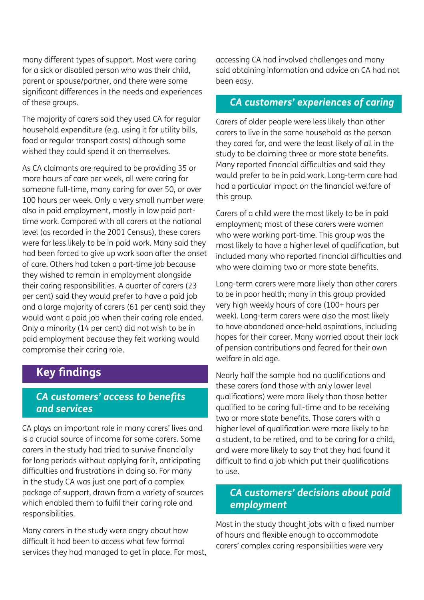many different types of support. Most were caring for a sick or disabled person who was their child, parent or spouse/partner, and there were some significant differences in the needs and experiences of these groups.

The majority of carers said they used CA for regular household expenditure (e.g. using it for utility bills, food or regular transport costs) although some wished they could spend it on themselves.

As CA claimants are required to be providing 35 or more hours of care per week, all were caring for someone full-time, many caring for over 50, or over 100 hours per week. Only a very small number were also in paid employment, mostly in low paid parttime work. Compared with all carers at the national level (as recorded in the 2001 Census), these carers were far less likely to be in paid work. Many said they had been forced to give up work soon after the onset of care. Others had taken a part-time job because they wished to remain in employment alongside their caring responsibilities. A quarter of carers (23 per cent) said they would prefer to have a paid job and a large majority of carers (61 per cent) said they would want a paid job when their caring role ended. Only a minority (14 per cent) did not wish to be in paid employment because they felt working would compromise their caring role.

### **Key findings**

#### *CA customers' access to benefits and services*

CA plays an important role in many carers' lives and is a crucial source of income for some carers. Some carers in the study had tried to survive financially for long periods without applying for it, anticipating difficulties and frustrations in doing so. For many in the study CA was just one part of a complex package of support, drawn from a variety of sources which enabled them to fulfil their caring role and responsibilities.

Many carers in the study were angry about how difficult it had been to access what few formal services they had managed to get in place. For most, accessing CA had involved challenges and many said obtaining information and advice on CA had not been easy.

#### *CA customers' experiences of caring*

Carers of older people were less likely than other carers to live in the same household as the person they cared for, and were the least likely of all in the study to be claiming three or more state benefits. Many reported financial difficulties and said they would prefer to be in paid work. Long-term care had had a particular impact on the financial welfare of this group.

Carers of a child were the most likely to be in paid employment; most of these carers were women who were working part-time. This group was the most likely to have a higher level of qualification, but included many who reported financial difficulties and who were claiming two or more state benefits.

Long-term carers were more likely than other carers to be in poor health; many in this group provided very high weekly hours of care (100+ hours per week). Long-term carers were also the most likely to have abandoned once-held aspirations, including hopes for their career. Many worried about their lack of pension contributions and feared for their own welfare in old age.

Nearly half the sample had no qualifications and these carers (and those with only lower level qualifications) were more likely than those better qualified to be caring full-time and to be receiving two or more state benefits. Those carers with a higher level of qualification were more likely to be a student, to be retired, and to be caring for a child, and were more likely to say that they had found it difficult to find a job which put their qualifications to use.

#### *CA customers' decisions about paid employment*

Most in the study thought jobs with a fixed number of hours and flexible enough to accommodate carers' complex caring responsibilities were very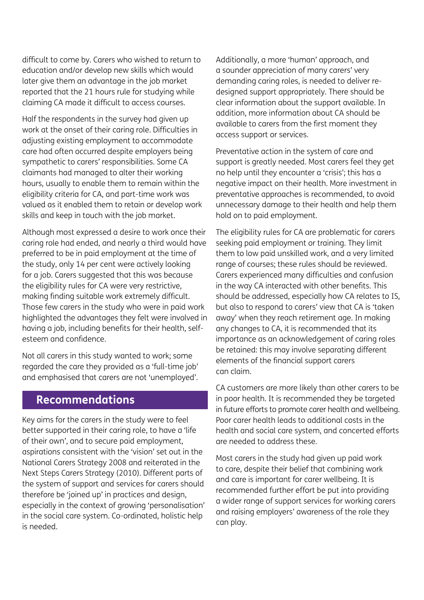difficult to come by. Carers who wished to return to education and/or develop new skills which would later give them an advantage in the job market reported that the 21 hours rule for studying while claiming CA made it difficult to access courses.

Half the respondents in the survey had given up work at the onset of their caring role. Difficulties in adjusting existing employment to accommodate care had often occurred despite employers being sympathetic to carers' responsibilities. Some CA claimants had managed to alter their working hours, usually to enable them to remain within the eligibility criteria for CA, and part-time work was valued as it enabled them to retain or develop work skills and keep in touch with the job market.

Although most expressed a desire to work once their caring role had ended, and nearly a third would have preferred to be in paid employment at the time of the study, only 14 per cent were actively looking for a job. Carers suggested that this was because the eligibility rules for CA were very restrictive, making finding suitable work extremely difficult. Those few carers in the study who were in paid work highlighted the advantages they felt were involved in having a job, including benefits for their health, selfesteem and confidence.

Not all carers in this study wanted to work; some regarded the care they provided as a 'full-time job' and emphasised that carers are not 'unemployed'.

#### **Recommendations**

Key aims for the carers in the study were to feel better supported in their caring role, to have a 'life of their own', and to secure paid employment, aspirations consistent with the 'vision' set out in the National Carers Strategy 2008 and reiterated in the Next Steps Carers Strategy (2010). Different parts of the system of support and services for carers should therefore be 'joined up' in practices and design, especially in the context of growing 'personalisation' in the social care system. Co-ordinated, holistic help is needed.

Additionally, a more 'human' approach, and a sounder appreciation of many carers' very demanding caring roles, is needed to deliver redesigned support appropriately. There should be clear information about the support available. In addition, more information about CA should be available to carers from the first moment they access support or services.

Preventative action in the system of care and support is greatly needed. Most carers feel they get no help until they encounter a 'crisis'; this has a negative impact on their health. More investment in preventative approaches is recommended, to avoid unnecessary damage to their health and help them hold on to paid employment.

The eligibility rules for CA are problematic for carers seeking paid employment or training. They limit them to low paid unskilled work, and a very limited range of courses; these rules should be reviewed. Carers experienced many difficulties and confusion in the way CA interacted with other benefits. This should be addressed, especially how CA relates to IS, but also to respond to carers' view that CA is 'taken away' when they reach retirement age. In making any changes to CA, it is recommended that its importance as an acknowledgement of caring roles be retained: this may involve separating different elements of the financial support carers can claim.

CA customers are more likely than other carers to be in poor health. It is recommended they be targeted in future efforts to promote carer health and wellbeing. Poor carer health leads to additional costs in the health and social care system, and concerted efforts are needed to address these.

Most carers in the study had given up paid work to care, despite their belief that combining work and care is important for carer wellbeing. It is recommended further effort be put into providing a wider range of support services for working carers and raising employers' awareness of the role they can play.